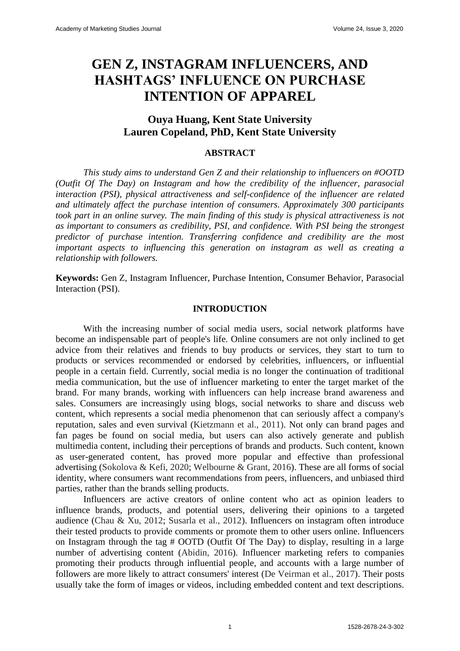# **GEN Z, INSTAGRAM INFLUENCERS, AND HASHTAGS' INFLUENCE ON PURCHASE INTENTION OF APPAREL**

# **Ouya Huang, Kent State University Lauren Copeland, PhD, Kent State University**

#### **ABSTRACT**

*This study aims to understand Gen Z and their relationship to influencers on #OOTD (Outfit Of The Day) on Instagram and how the credibility of the influencer, parasocial interaction (PSI), physical attractiveness and self-confidence of the influencer are related and ultimately affect the purchase intention of consumers. Approximately 300 participants took part in an online survey. The main finding of this study is physical attractiveness is not as important to consumers as credibility, PSI, and confidence. With PSI being the strongest predictor of purchase intention. Transferring confidence and credibility are the most important aspects to influencing this generation on instagram as well as creating a relationship with followers.*

**Keywords:** Gen Z, Instagram Influencer, Purchase Intention, Consumer Behavior, Parasocial Interaction (PSI).

#### **INTRODUCTION**

With the increasing number of social media users, social network platforms have become an indispensable part of people's life. Online consumers are not only inclined to get advice from their relatives and friends to buy products or services, they start to turn to products or services recommended or endorsed by celebrities, influencers, or influential people in a certain field. Currently, social media is no longer the continuation of traditional media communication, but the use of influencer marketing to enter the target market of the brand. For many brands, working with influencers can help increase brand awareness and sales. Consumers are increasingly using blogs, social networks to share and discuss web content, which represents a social media phenomenon that can seriously affect a company's reputation, sales and even survival (Kietzmann et al., 2011). Not only can brand pages and fan pages be found on social media, but users can also actively generate and publish multimedia content, including their perceptions of brands and products. Such content, known as user-generated content, has proved more popular and effective than professional advertising (Sokolova & Kefi, 2020; Welbourne & Grant, 2016). These are all forms of social identity, where consumers want recommendations from peers, influencers, and unbiased third parties, rather than the brands selling products.

Influencers are active creators of online content who act as opinion leaders to influence brands, products, and potential users, delivering their opinions to a targeted audience (Chau & Xu, 2012; Susarla et al., 2012). Influencers on instagram often introduce their tested products to provide comments or promote them to other users online. Influencers on Instagram through the tag # OOTD (Outfit Of The Day) to display, resulting in a large number of advertising content (Abidin, 2016). Influencer marketing refers to companies promoting their products through influential people, and accounts with a large number of followers are more likely to attract consumers' interest (De Veirman et al., 2017). Their posts usually take the form of images or videos, including embedded content and text descriptions.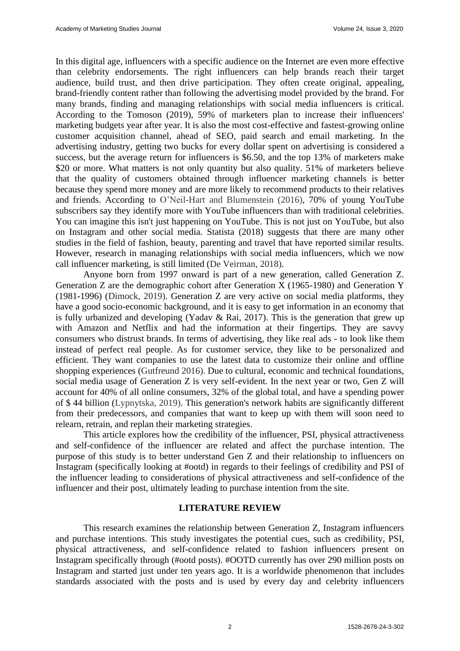In this digital age, influencers with a specific audience on the Internet are even more effective than celebrity endorsements. The right influencers can help brands reach their target audience, build trust, and then drive participation. They often create original, appealing, brand-friendly content rather than following the advertising model provided by the brand. For many brands, finding and managing relationships with social media influencers is critical. According to the Tomoson (2019), 59% of marketers plan to increase their influencers' marketing budgets year after year. It is also the most cost-effective and fastest-growing online customer acquisition channel, ahead of SEO, paid search and email marketing. In the advertising industry, getting two bucks for every dollar spent on advertising is considered a success, but the average return for influencers is \$6.50, and the top 13% of marketers make \$20 or more. What matters is not only quantity but also quality. 51% of marketers believe that the quality of customers obtained through influencer marketing channels is better because they spend more money and are more likely to recommend products to their relatives and friends. According to O'Neil-Hart and Blumenstein (2016), 70% of young YouTube subscribers say they identify more with YouTube influencers than with traditional celebrities. You can imagine this isn't just happening on YouTube. This is not just on YouTube, but also on Instagram and other social media. Statista (2018) suggests that there are many other studies in the field of fashion, beauty, parenting and travel that have reported similar results. However, research in managing relationships with social media influencers, which we now call influencer marketing, is still limited (De Veirman, 2018).

Anyone born from 1997 onward is part of a new generation, called Generation Z. Generation Z are the demographic cohort after Generation X (1965-1980) and Generation Y (1981-1996) (Dimock, 2019). Generation Z are very active on social media platforms, they have a good socio-economic background, and it is easy to get information in an economy that is fully urbanized and developing (Yadav & Rai, 2017). This is the generation that grew up with Amazon and Netflix and had the information at their fingertips. They are savvy consumers who distrust brands. In terms of advertising, they like real ads - to look like them instead of perfect real people. As for customer service, they like to be personalized and efficient. They want companies to use the latest data to customize their online and offline shopping experiences (Gutfreund 2016). Due to cultural, economic and technical foundations, social media usage of Generation Z is very self-evident. In the next year or two, Gen Z will account for 40% of all online consumers, 32% of the global total, and have a spending power of \$ 44 billion (Lypnytska, 2019). This generation's network habits are significantly different from their predecessors, and companies that want to keep up with them will soon need to relearn, retrain, and replan their marketing strategies.

This article explores how the credibility of the influencer, PSI, physical attractiveness and self-confidence of the influencer are related and affect the purchase intention. The purpose of this study is to better understand Gen Z and their relationship to influencers on Instagram (specifically looking at #ootd) in regards to their feelings of credibility and PSI of the influencer leading to considerations of physical attractiveness and self-confidence of the influencer and their post, ultimately leading to purchase intention from the site.

#### **LITERATURE REVIEW**

This research examines the relationship between Generation Z, Instagram influencers and purchase intentions. This study investigates the potential cues, such as credibility, PSI, physical attractiveness, and self-confidence related to fashion influencers present on Instagram specifically through (#ootd posts). #OOTD currently has over 290 million posts on Instagram and started just under ten years ago. It is a worldwide phenomenon that includes standards associated with the posts and is used by every day and celebrity influencers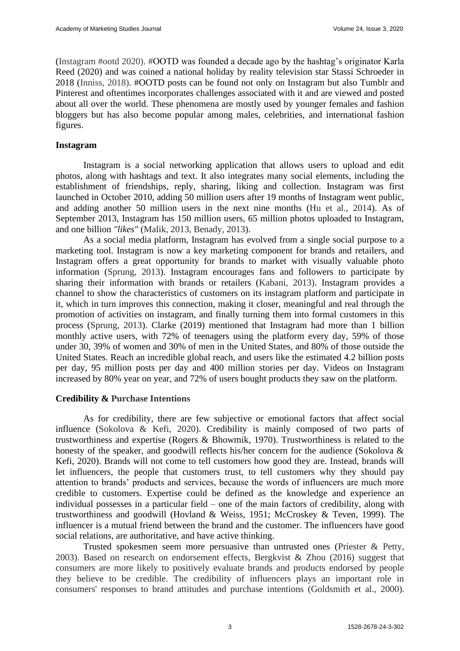(Instagram #ootd 2020). #OOTD was founded a decade ago by the hashtag's originator Karla Reed (2020) and was coined a national holiday by reality television star Stassi Schroeder in 2018 (Inniss, 2018). #OOTD posts can be found not only on Instagram but also Tumblr and Pinterest and oftentimes incorporates challenges associated with it and are viewed and posted about all over the world. These phenomena are mostly used by younger females and fashion bloggers but has also become popular among males, celebrities, and international fashion figures.

## **Instagram**

Instagram is a social networking application that allows users to upload and edit photos, along with hashtags and text. It also integrates many social elements, including the establishment of friendships, reply, sharing, liking and collection. Instagram was first launched in October 2010, adding 50 million users after 19 months of Instagram went public, and adding another 50 million users in the next nine months (Hu et al., 2014). As of September 2013, Instagram has 150 million users, 65 million photos uploaded to Instagram, and one billion *"likes"* (Malik, 2013, Benady, 2013).

As a social media platform, Instagram has evolved from a single social purpose to a marketing tool. Instagram is now a key marketing component for brands and retailers, and Instagram offers a great opportunity for brands to market with visually valuable photo information (Sprung, 2013). Instagram encourages fans and followers to participate by sharing their information with brands or retailers (Kabani, 2013). Instagram provides a channel to show the characteristics of customers on its instagram platform and participate in it, which in turn improves this connection, making it closer, meaningful and real through the promotion of activities on instagram, and finally turning them into formal customers in this process (Sprung, 2013). Clarke (2019) mentioned that Instagram had more than 1 billion monthly active users, with 72% of teenagers using the platform every day, 59% of those under 30, 39% of women and 30% of men in the United States, and 80% of those outside the United States. Reach an incredible global reach, and users like the estimated 4.2 billion posts per day, 95 million posts per day and 400 million stories per day. Videos on Instagram increased by 80% year on year, and 72% of users bought products they saw on the platform.

# **Credibility & Purchase Intentions**

As for credibility, there are few subjective or emotional factors that affect social influence (Sokolova & Kefi, 2020). Credibility is mainly composed of two parts of trustworthiness and expertise (Rogers & Bhowmik, 1970). Trustworthiness is related to the honesty of the speaker, and goodwill reflects his/her concern for the audience (Sokolova & Kefi, 2020). Brands will not come to tell customers how good they are. Instead, brands will let influencers, the people that customers trust, to tell customers why they should pay attention to brands' products and services, because the words of influencers are much more credible to customers. Expertise could be defined as the knowledge and experience an individual possesses in a particular field – one of the main factors of credibility, along with trustworthiness and goodwill (Hovland & Weiss, 1951; McCroskey & Teven, 1999). The influencer is a mutual friend between the brand and the customer. The influencers have good social relations, are authoritative, and have active thinking.

Trusted spokesmen seem more persuasive than untrusted ones (Priester & Petty, 2003). Based on research on endorsement effects, Bergkvist & Zhou (2016) suggest that consumers are more likely to positively evaluate brands and products endorsed by people they believe to be credible. The credibility of influencers plays an important role in consumers' responses to brand attitudes and purchase intentions (Goldsmith et al., 2000).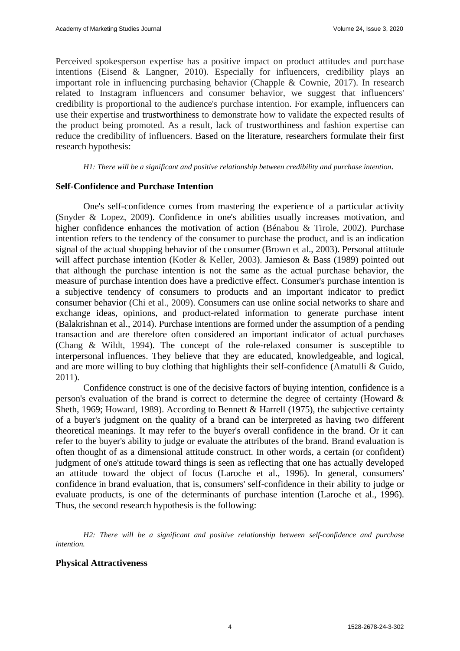Perceived spokesperson expertise has a positive impact on product attitudes and purchase intentions (Eisend & Langner, 2010). Especially for influencers, credibility plays an important role in influencing purchasing behavior (Chapple & Cownie, 2017). In research related to Instagram influencers and consumer behavior, we suggest that influencers' credibility is proportional to the audience's purchase intention. For example, influencers can use their expertise and trustworthiness to demonstrate how to validate the expected results of the product being promoted. As a result, lack of trustworthiness and fashion expertise can reduce the credibility of influencers. Based on the literature, researchers formulate their first research hypothesis:

*H1: There will be a significant and positive relationship between credibility and purchase intention.* 

#### **Self-Confidence and Purchase Intention**

One's self-confidence comes from mastering the experience of a particular activity (Snyder & Lopez, 2009). Confidence in one's abilities usually increases motivation, and higher confidence enhances the motivation of action (Bénabou & Tirole, 2002). Purchase intention refers to the tendency of the consumer to purchase the product, and is an indication signal of the actual shopping behavior of the consumer (Brown et al., 2003). Personal attitude will affect purchase intention (Kotler & Keller, 2003). Jamieson & Bass (1989) pointed out that although the purchase intention is not the same as the actual purchase behavior, the measure of purchase intention does have a predictive effect. Consumer's purchase intention is a subjective tendency of consumers to products and an important indicator to predict consumer behavior (Chi et al., 2009). Consumers can use online social networks to share and exchange ideas, opinions, and product-related information to generate purchase intent (Balakrishnan et al., 2014). Purchase intentions are formed under the assumption of a pending transaction and are therefore often considered an important indicator of actual purchases (Chang & Wildt, 1994). The concept of the role-relaxed consumer is susceptible to interpersonal influences. They believe that they are educated, knowledgeable, and logical, and are more willing to buy clothing that highlights their self-confidence (Amatulli & Guido, 2011).

Confidence construct is one of the decisive factors of buying intention, confidence is a person's evaluation of the brand is correct to determine the degree of certainty (Howard & Sheth, 1969; Howard, 1989). According to Bennett & Harrell (1975), the subjective certainty of a buyer's judgment on the quality of a brand can be interpreted as having two different theoretical meanings. It may refer to the buyer's overall confidence in the brand. Or it can refer to the buyer's ability to judge or evaluate the attributes of the brand. Brand evaluation is often thought of as a dimensional attitude construct. In other words, a certain (or confident) judgment of one's attitude toward things is seen as reflecting that one has actually developed an attitude toward the object of focus (Laroche et al., 1996). In general, consumers' confidence in brand evaluation, that is, consumers' self-confidence in their ability to judge or evaluate products, is one of the determinants of purchase intention (Laroche et al., 1996). Thus, the second research hypothesis is the following:

*H2: There will be a significant and positive relationship between self-confidence and purchase intention.*

#### **Physical Attractiveness**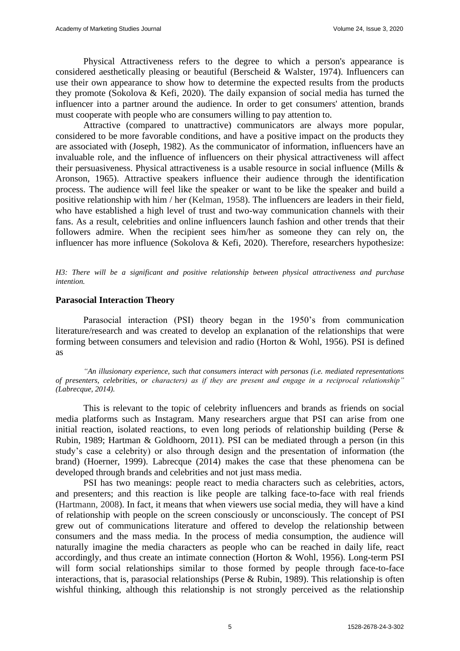Physical Attractiveness refers to the degree to which a person's appearance is considered aesthetically pleasing or beautiful (Berscheid & Walster, 1974). Influencers can use their own appearance to show how to determine the expected results from the products they promote (Sokolova & Kefi, 2020). The daily expansion of social media has turned the influencer into a partner around the audience. In order to get consumers' attention, brands must cooperate with people who are consumers willing to pay attention to.

Attractive (compared to unattractive) communicators are always more popular, considered to be more favorable conditions, and have a positive impact on the products they are associated with (Joseph, 1982). As the communicator of information, influencers have an invaluable role, and the influence of influencers on their physical attractiveness will affect their persuasiveness. Physical attractiveness is a usable resource in social influence (Mills & Aronson, 1965). Attractive speakers influence their audience through the identification process. The audience will feel like the speaker or want to be like the speaker and build a positive relationship with him / her (Kelman, 1958). The influencers are leaders in their field, who have established a high level of trust and two-way communication channels with their fans. As a result, celebrities and online influencers launch fashion and other trends that their followers admire. When the recipient sees him/her as someone they can rely on, the influencer has more influence (Sokolova & Kefi, 2020). Therefore, researchers hypothesize:

*H3: There will be a significant and positive relationship between physical attractiveness and purchase intention.*

#### **Parasocial Interaction Theory**

Parasocial interaction (PSI) theory began in the 1950's from communication literature/research and was created to develop an explanation of the relationships that were forming between consumers and television and radio (Horton & Wohl, 1956). PSI is defined as

*"An illusionary experience, such that consumers interact with personas (i.e. mediated representations of presenters, celebrities, or characters) as if they are present and engage in a reciprocal relationship" (Labrecque, 2014).* 

This is relevant to the topic of celebrity influencers and brands as friends on social media platforms such as Instagram. Many researchers argue that PSI can arise from one initial reaction, isolated reactions, to even long periods of relationship building (Perse  $\&$ Rubin, 1989; Hartman & Goldhoorn, 2011). PSI can be mediated through a person (in this study's case a celebrity) or also through design and the presentation of information (the brand) (Hoerner, 1999). Labrecque (2014) makes the case that these phenomena can be developed through brands and celebrities and not just mass media.

PSI has two meanings: people react to media characters such as celebrities, actors, and presenters; and this reaction is like people are talking face-to-face with real friends (Hartmann, 2008). In fact, it means that when viewers use social media, they will have a kind of relationship with people on the screen consciously or unconsciously. The concept of PSI grew out of communications literature and offered to develop the relationship between consumers and the mass media. In the process of media consumption, the audience will naturally imagine the media characters as people who can be reached in daily life, react accordingly, and thus create an intimate connection (Horton & Wohl, 1956). Long-term PSI will form social relationships similar to those formed by people through face-to-face interactions, that is, parasocial relationships (Perse & Rubin, 1989). This relationship is often wishful thinking, although this relationship is not strongly perceived as the relationship

5 1528-2678-24-3-302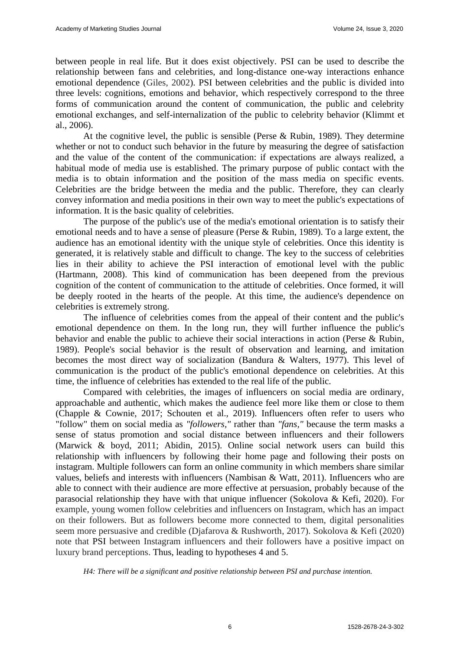between people in real life. But it does exist objectively. PSI can be used to describe the relationship between fans and celebrities, and long-distance one-way interactions enhance emotional dependence (Giles, 2002). PSI between celebrities and the public is divided into three levels: cognitions, emotions and behavior, which respectively correspond to the three forms of communication around the content of communication, the public and celebrity emotional exchanges, and self-internalization of the public to celebrity behavior (Klimmt et al., 2006).

At the cognitive level, the public is sensible (Perse  $\&$  Rubin, 1989). They determine whether or not to conduct such behavior in the future by measuring the degree of satisfaction and the value of the content of the communication: if expectations are always realized, a habitual mode of media use is established. The primary purpose of public contact with the media is to obtain information and the position of the mass media on specific events. Celebrities are the bridge between the media and the public. Therefore, they can clearly convey information and media positions in their own way to meet the public's expectations of information. It is the basic quality of celebrities.

The purpose of the public's use of the media's emotional orientation is to satisfy their emotional needs and to have a sense of pleasure (Perse & Rubin, 1989). To a large extent, the audience has an emotional identity with the unique style of celebrities. Once this identity is generated, it is relatively stable and difficult to change. The key to the success of celebrities lies in their ability to achieve the PSI interaction of emotional level with the public (Hartmann, 2008). This kind of communication has been deepened from the previous cognition of the content of communication to the attitude of celebrities. Once formed, it will be deeply rooted in the hearts of the people. At this time, the audience's dependence on celebrities is extremely strong.

The influence of celebrities comes from the appeal of their content and the public's emotional dependence on them. In the long run, they will further influence the public's behavior and enable the public to achieve their social interactions in action (Perse & Rubin, 1989). People's social behavior is the result of observation and learning, and imitation becomes the most direct way of socialization (Bandura & Walters, 1977). This level of communication is the product of the public's emotional dependence on celebrities. At this time, the influence of celebrities has extended to the real life of the public.

Compared with celebrities, the images of influencers on social media are ordinary, approachable and authentic, which makes the audience feel more like them or close to them (Chapple & Cownie, 2017; Schouten et al., 2019). Influencers often refer to users who "follow" them on social media as *"followers,"* rather than *"fans,"* because the term masks a sense of status promotion and social distance between influencers and their followers (Marwick & boyd, 2011; Abidin, 2015). Online social network users can build this relationship with influencers by following their home page and following their posts on instagram. Multiple followers can form an online community in which members share similar values, beliefs and interests with influencers (Nambisan & Watt, 2011). Influencers who are able to connect with their audience are more effective at persuasion, probably because of the parasocial relationship they have with that unique influencer (Sokolova & Kefi, 2020). For example, young women follow celebrities and influencers on Instagram, which has an impact on their followers. But as followers become more connected to them, digital personalities seem more persuasive and credible (Djafarova & Rushworth, 2017). Sokolova & Kefi (2020) note that PSI between Instagram influencers and their followers have a positive impact on luxury brand perceptions. Thus, leading to hypotheses 4 and 5.

*H4: There will be a significant and positive relationship between PSI and purchase intention.*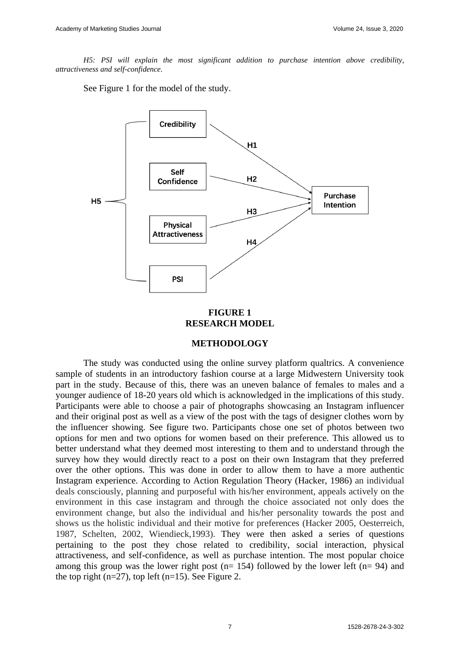*H5: PSI will explain the most significant addition to purchase intention above credibility, attractiveness and self-confidence.*

See Figure 1 for the model of the study.



#### **FIGURE 1 RESEARCH MODEL**

#### **METHODOLOGY**

The study was conducted using the online survey platform qualtrics. A convenience sample of students in an introductory fashion course at a large Midwestern University took part in the study. Because of this, there was an uneven balance of females to males and a younger audience of 18-20 years old which is acknowledged in the implications of this study. Participants were able to choose a pair of photographs showcasing an Instagram influencer and their original post as well as a view of the post with the tags of designer clothes worn by the influencer showing. See figure two. Participants chose one set of photos between two options for men and two options for women based on their preference. This allowed us to better understand what they deemed most interesting to them and to understand through the survey how they would directly react to a post on their own Instagram that they preferred over the other options. This was done in order to allow them to have a more authentic Instagram experience. According to Action Regulation Theory (Hacker, 1986) an individual deals consciously, planning and purposeful with his/her environment, appeals actively on the environment in this case instagram and through the choice associated not only does the environment change, but also the individual and his/her personality towards the post and shows us the holistic individual and their motive for preferences (Hacker 2005, Oesterreich, 1987, Schelten, 2002, Wiendieck,1993). They were then asked a series of questions pertaining to the post they chose related to credibility, social interaction, physical attractiveness, and self-confidence, as well as purchase intention. The most popular choice among this group was the lower right post ( $n= 154$ ) followed by the lower left ( $n= 94$ ) and the top right (n=27), top left (n=15). See Figure 2.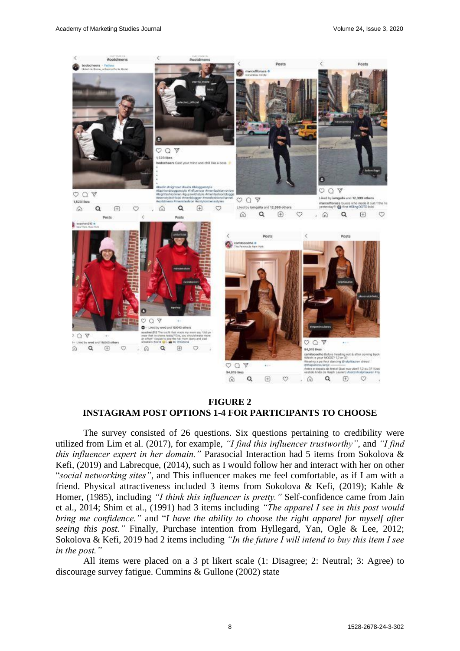

#### **FIGURE 2 INSTAGRAM POST OPTIONS 1-4 FOR PARTICIPANTS TO CHOOSE**

The survey consisted of 26 questions. Six questions pertaining to credibility were utilized from Lim et al. (2017), for example, *"I find this influencer trustworthy"*, and *"I find this influencer expert in her domain."* Parasocial Interaction had 5 items from Sokolova & Kefi, (2019) and Labrecque, (2014), such as I would follow her and interact with her on other "*social networking sites"*, and This influencer makes me feel comfortable, as if I am with a friend. Physical attractiveness included 3 items from Sokolova & Kefi, (2019); Kahle & Homer, (1985), including *"I think this influencer is pretty."* Self-confidence came from Jain et al., 2014; Shim et al., (1991) had 3 items including *"The apparel I see in this post would bring me confidence."* and "*I have the ability to choose the right apparel for myself after seeing this post."* Finally, Purchase intention from Hyllegard, Yan, Ogle & Lee, 2012; Sokolova & Kefi, 2019 had 2 items including *"In the future I will intend to buy this item I see in the post."*

All items were placed on a 3 pt likert scale (1: Disagree; 2: Neutral; 3: Agree) to discourage survey fatigue. Cummins & Gullone (2002) state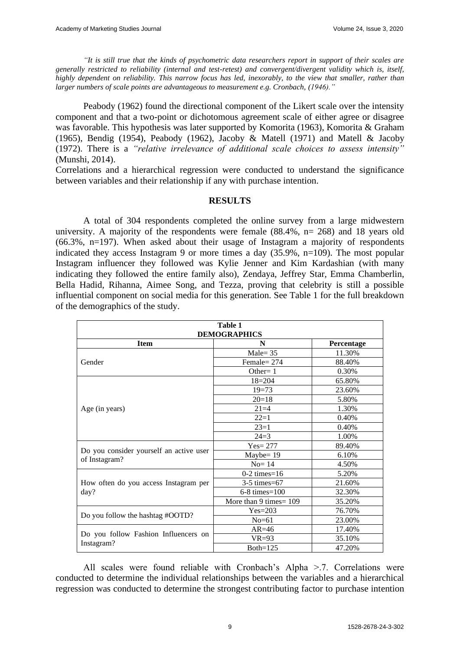*"It is still true that the kinds of psychometric data researchers report in support of their scales are generally restricted to reliability (internal and test-retest) and convergent/divergent validity which is, itself, highly dependent on reliability. This narrow focus has led, inexorably, to the view that smaller, rather than larger numbers of scale points are advantageous to measurement e.g. Cronbach, (1946)."* 

Peabody (1962) found the directional component of the Likert scale over the intensity component and that a two-point or dichotomous agreement scale of either agree or disagree was favorable. This hypothesis was later supported by Komorita (1963), Komorita & Graham (1965), Bendig (1954), Peabody (1962), Jacoby & Matell (1971) and Matell & Jacoby (1972). There is a *"relative irrelevance of additional scale choices to assess intensity"* (Munshi, 2014).

Correlations and a hierarchical regression were conducted to understand the significance between variables and their relationship if any with purchase intention.

## **RESULTS**

A total of 304 respondents completed the online survey from a large midwestern university. A majority of the respondents were female (88.4%, n= 268) and 18 years old (66.3%, n=197). When asked about their usage of Instagram a majority of respondents indicated they access Instagram 9 or more times a day (35.9%, n=109). The most popular Instagram influencer they followed was Kylie Jenner and Kim Kardashian (with many indicating they followed the entire family also), Zendaya, Jeffrey Star, Emma Chamberlin, Bella Hadid, Rihanna, Aimee Song, and Tezza, proving that celebrity is still a possible influential component on social media for this generation. See Table 1 for the full breakdown of the demographics of the study.

| <b>Table 1</b><br><b>DEMOGRAPHICS</b>                    |                           |            |  |  |  |  |  |
|----------------------------------------------------------|---------------------------|------------|--|--|--|--|--|
| <b>Item</b>                                              | N                         | Percentage |  |  |  |  |  |
| Gender                                                   | $Male = 35$               | 11.30%     |  |  |  |  |  |
|                                                          | Female $= 274$            | 88.40%     |  |  |  |  |  |
|                                                          | Other= $1$                | 0.30%      |  |  |  |  |  |
| Age (in years)                                           | $18 = 204$                | 65.80%     |  |  |  |  |  |
|                                                          | $19=73$                   | 23.60%     |  |  |  |  |  |
|                                                          | $20=18$                   | 5.80%      |  |  |  |  |  |
|                                                          | $21=4$                    | 1.30%      |  |  |  |  |  |
|                                                          | $22=1$                    | 0.40%      |  |  |  |  |  |
|                                                          | $23=1$                    | 0.40%      |  |  |  |  |  |
|                                                          | $24=3$                    | 1.00%      |  |  |  |  |  |
| Do you consider yourself an active user<br>of Instagram? | $Yes = 277$               | 89.40%     |  |  |  |  |  |
|                                                          | $Maybe=19$                | 6.10%      |  |  |  |  |  |
|                                                          | $No=14$                   | 4.50%      |  |  |  |  |  |
| How often do you access Instagram per<br>day?            | $0-2$ times=16            | 5.20%      |  |  |  |  |  |
|                                                          | $3-5$ times=67            | 21.60%     |  |  |  |  |  |
|                                                          | $6-8$ times= $100$        | 32.30%     |  |  |  |  |  |
|                                                          | More than 9 times = $109$ | 35.20%     |  |  |  |  |  |
| Do you follow the hashtag #OOTD?                         | $Yes = 203$               | 76.70%     |  |  |  |  |  |
|                                                          | $No=61$                   | 23.00%     |  |  |  |  |  |
| Do you follow Fashion Influencers on<br>Instagram?       | $AR = 46$                 | 17.40%     |  |  |  |  |  |
|                                                          | $VR=93$                   | 35.10%     |  |  |  |  |  |
|                                                          | Both= $125$               | 47.20%     |  |  |  |  |  |

All scales were found reliable with Cronbach's Alpha >.7. Correlations were conducted to determine the individual relationships between the variables and a hierarchical regression was conducted to determine the strongest contributing factor to purchase intention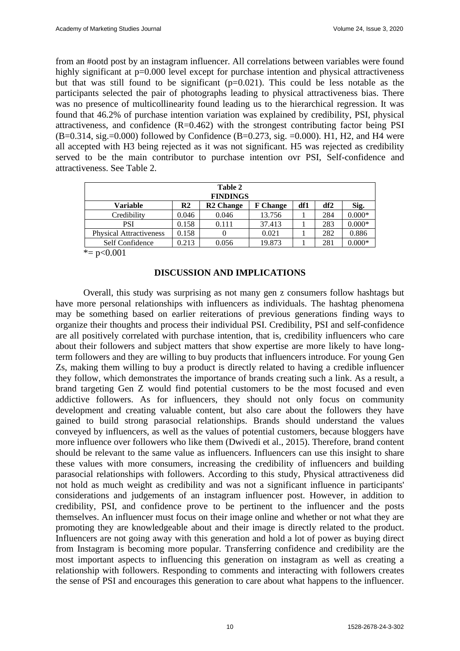from an #ootd post by an instagram influencer. All correlations between variables were found highly significant at p=0.000 level except for purchase intention and physical attractiveness but that was still found to be significant  $(p=0.021)$ . This could be less notable as the participants selected the pair of photographs leading to physical attractiveness bias. There was no presence of multicollinearity found leading us to the hierarchical regression. It was found that 46.2% of purchase intention variation was explained by credibility, PSI, physical attractiveness, and confidence  $(R=0.462)$  with the strongest contributing factor being PSI  $(B=0.314, \text{sig.}=0.000)$  followed by Confidence  $(B=0.273, \text{sig.}=0.000)$ . H1, H2, and H4 were all accepted with H3 being rejected as it was not significant. H5 was rejected as credibility served to be the main contributor to purchase intention ovr PSI, Self-confidence and attractiveness. See Table 2.

| Table 2                        |                |                  |                 |     |     |          |  |  |
|--------------------------------|----------------|------------------|-----------------|-----|-----|----------|--|--|
| <b>FINDINGS</b>                |                |                  |                 |     |     |          |  |  |
| Variable                       | R <sub>2</sub> | <b>R2</b> Change | <b>F</b> Change | df1 | df2 | Sig.     |  |  |
| Credibility                    | 0.046          | 0.046            | 13.756          |     | 284 | $0.000*$ |  |  |
| <b>PSI</b>                     | 0.158          | 0.111            | 37.413          |     | 283 | $0.000*$ |  |  |
| <b>Physical Attractiveness</b> | 0.158          |                  | 0.021           |     | 282 | 0.886    |  |  |
| Self Confidence                | 0.213          | 0.056            | 19.873          |     | 281 | $0.000*$ |  |  |

 $* = p < 0.001$ 

#### **DISCUSSION AND IMPLICATIONS**

Overall, this study was surprising as not many gen z consumers follow hashtags but have more personal relationships with influencers as individuals. The hashtag phenomena may be something based on earlier reiterations of previous generations finding ways to organize their thoughts and process their individual PSI. Credibility, PSI and self-confidence are all positively correlated with purchase intention, that is, credibility influencers who care about their followers and subject matters that show expertise are more likely to have longterm followers and they are willing to buy products that influencers introduce. For young Gen Zs, making them willing to buy a product is directly related to having a credible influencer they follow, which demonstrates the importance of brands creating such a link. As a result, a brand targeting Gen Z would find potential customers to be the most focused and even addictive followers. As for influencers, they should not only focus on community development and creating valuable content, but also care about the followers they have gained to build strong parasocial relationships. Brands should understand the values conveyed by influencers, as well as the values of potential customers, because bloggers have more influence over followers who like them (Dwivedi et al., 2015). Therefore, brand content should be relevant to the same value as influencers. Influencers can use this insight to share these values with more consumers, increasing the credibility of influencers and building parasocial relationships with followers. According to this study, Physical attractiveness did not hold as much weight as credibility and was not a significant influence in participants' considerations and judgements of an instagram influencer post. However, in addition to credibility, PSI, and confidence prove to be pertinent to the influencer and the posts themselves. An influencer must focus on their image online and whether or not what they are promoting they are knowledgeable about and their image is directly related to the product. Influencers are not going away with this generation and hold a lot of power as buying direct from Instagram is becoming more popular. Transferring confidence and credibility are the most important aspects to influencing this generation on instagram as well as creating a relationship with followers. Responding to comments and interacting with followers creates the sense of PSI and encourages this generation to care about what happens to the influencer.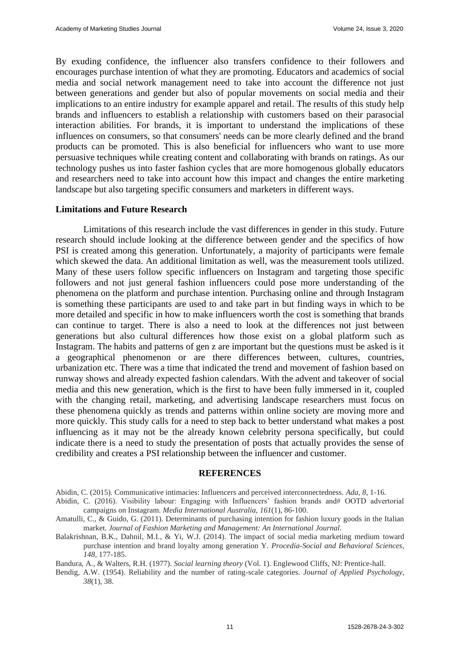By exuding confidence, the influencer also transfers confidence to their followers and encourages purchase intention of what they are promoting. Educators and academics of social media and social network management need to take into account the difference not just between generations and gender but also of popular movements on social media and their implications to an entire industry for example apparel and retail. The results of this study help brands and influencers to establish a relationship with customers based on their parasocial interaction abilities. For brands, it is important to understand the implications of these influences on consumers, so that consumers' needs can be more clearly defined and the brand products can be promoted. This is also beneficial for influencers who want to use more persuasive techniques while creating content and collaborating with brands on ratings. As our technology pushes us into faster fashion cycles that are more homogenous globally educators and researchers need to take into account how this impact and changes the entire marketing landscape but also targeting specific consumers and marketers in different ways.

#### **Limitations and Future Research**

Limitations of this research include the vast differences in gender in this study. Future research should include looking at the difference between gender and the specifics of how PSI is created among this generation. Unfortunately, a majority of participants were female which skewed the data. An additional limitation as well, was the measurement tools utilized. Many of these users follow specific influencers on Instagram and targeting those specific followers and not just general fashion influencers could pose more understanding of the phenomena on the platform and purchase intention. Purchasing online and through Instagram is something these participants are used to and take part in but finding ways in which to be more detailed and specific in how to make influencers worth the cost is something that brands can continue to target. There is also a need to look at the differences not just between generations but also cultural differences how those exist on a global platform such as Instagram. The habits and patterns of gen z are important but the questions must be asked is it a geographical phenomenon or are there differences between, cultures, countries, urbanization etc. There was a time that indicated the trend and movement of fashion based on runway shows and already expected fashion calendars. With the advent and takeover of social media and this new generation, which is the first to have been fully immersed in it, coupled with the changing retail, marketing, and advertising landscape researchers must focus on these phenomena quickly as trends and patterns within online society are moving more and more quickly. This study calls for a need to step back to better understand what makes a post influencing as it may not be the already known celebrity persona specifically, but could indicate there is a need to study the presentation of posts that actually provides the sense of credibility and creates a PSI relationship between the influencer and customer.

#### **REFERENCES**

Abidin, C. (2015). Communicative intimacies: Influencers and perceived interconnectedness. *Ada*, *8*, 1-16.

- Abidin, C. (2016). Visibility labour: Engaging with Influencers' fashion brands and# OOTD advertorial campaigns on Instagram. *Media International Australia*, *161*(1), 86-100.
- Amatulli, C., & Guido, G. (2011). Determinants of purchasing intention for fashion luxury goods in the Italian market. *Journal of Fashion Marketing and Management: An International Journal*.
- Balakrishnan, B.K., Dahnil, M.I., & Yi, W.J. (2014). The impact of social media marketing medium toward purchase intention and brand loyalty among generation Y. *Procedia-Social and Behavioral Sciences*, *148*, 177-185.

Bandura, A., & Walters, R.H. (1977). *Social learning theory* (Vol. 1). Englewood Cliffs, NJ: Prentice-hall.

Bendig, A.W. (1954). Reliability and the number of rating-scale categories. *Journal of Applied Psychology*, *38*(1), 38.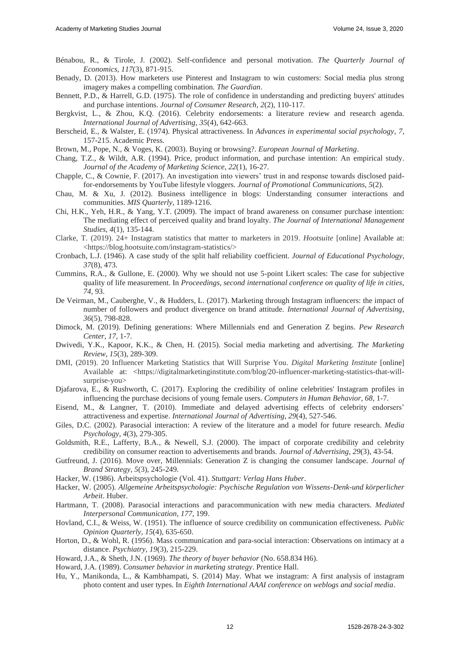- Bénabou, R., & Tirole, J. (2002). Self-confidence and personal motivation. *The Quarterly Journal of Economics*, *117*(3), 871-915.
- Benady, D. (2013). How marketers use Pinterest and Instagram to win customers: Social media plus strong imagery makes a compelling combination. *The Guardian*.
- Bennett, P.D., & Harrell, G.D. (1975). The role of confidence in understanding and predicting buyers' attitudes and purchase intentions. *Journal of Consumer Research*, *2*(2), 110-117.
- Bergkvist, L., & Zhou, K.Q. (2016). Celebrity endorsements: a literature review and research agenda. *International Journal of Advertising*, *35*(4), 642-663.
- Berscheid, E., & Walster, E. (1974). Physical attractiveness. In *Advances in experimental social psychology*, *7*, 157-215. Academic Press.
- Brown, M., Pope, N., & Voges, K. (2003). Buying or browsing?. *European Journal of Marketing*.
- Chang, T.Z., & Wildt, A.R. (1994). Price, product information, and purchase intention: An empirical study. *Journal of the Academy of Marketing Science*, *22*(1), 16-27.
- Chapple, C., & Cownie, F. (2017). An investigation into viewers' trust in and response towards disclosed paidfor-endorsements by YouTube lifestyle vloggers. *Journal of Promotional Communications*, *5*(2).
- Chau, M. & Xu, J. (2012). Business intelligence in blogs: Understanding consumer interactions and communities. *MIS Quarterly*, 1189-1216.
- Chi, H.K., Yeh, H.R., & Yang, Y.T. (2009). The impact of brand awareness on consumer purchase intention: The mediating effect of perceived quality and brand loyalty. *The Journal of International Management Studies*, *4*(1), 135-144.
- Clarke, T. (2019). 24+ Instagram statistics that matter to marketers in 2019. *Hootsuite* [online] Available at: <https://blog.hootsuite.com/instagram-statistics/>
- Cronbach, L.J. (1946). A case study of the split half reliability coefficient. *Journal of Educational Psychology*, *37*(8), 473.
- Cummins, R.A., & Gullone, E. (2000). Why we should not use 5-point Likert scales: The case for subjective quality of life measurement. In *Proceedings, second international conference on quality of life in cities*, *74*, 93.
- De Veirman, M., Cauberghe, V., & Hudders, L. (2017). Marketing through Instagram influencers: the impact of number of followers and product divergence on brand attitude. *International Journal of Advertising*, *36*(5), 798-828.
- Dimock, M. (2019). Defining generations: Where Millennials end and Generation Z begins. *Pew Research Center*, *17*, 1-7.
- Dwivedi, Y.K., Kapoor, K.K., & Chen, H. (2015). Social media marketing and advertising. *The Marketing Review*, *15*(3), 289-309.
- DMI, (2019). 20 Influencer Marketing Statistics that Will Surprise You. *Digital Marketing Institute* [online] Available at: <https://digitalmarketinginstitute.com/blog/20-influencer-marketing-statistics-that-willsurprise-you>
- Djafarova, E., & Rushworth, C. (2017). Exploring the credibility of online celebrities' Instagram profiles in influencing the purchase decisions of young female users. *Computers in Human Behavior*, *68*, 1-7.
- Eisend, M., & Langner, T. (2010). Immediate and delayed advertising effects of celebrity endorsers' attractiveness and expertise. *International Journal of Advertising*, *29*(4), 527-546.
- Giles, D.C. (2002). Parasocial interaction: A review of the literature and a model for future research. *Media Psychology*, *4*(3), 279-305.
- Goldsmith, R.E., Lafferty, B.A., & Newell, S.J. (2000). The impact of corporate credibility and celebrity credibility on consumer reaction to advertisements and brands. *Journal of Advertising*, *29*(3), 43-54.
- Gutfreund, J. (2016). Move over, Millennials: Generation Z is changing the consumer landscape. *Journal of Brand Strategy*, *5*(3), 245-249.
- Hacker, W. (1986). Arbeitspsychologie (Vol. 41). *Stuttgart: Verlag Hans Huber*.
- Hacker, W. (2005). *Allgemeine Arbeitspsychologie: Psychische Regulation von Wissens-Denk-und körperlicher Arbeit*. Huber.
- Hartmann, T. (2008). Parasocial interactions and paracommunication with new media characters. *Mediated Interpersonal Communication*, *177*, 199.
- Hovland, C.I., & Weiss, W. (1951). The influence of source credibility on communication effectiveness. *Public Opinion Quarterly*, *15*(4), 635-650.
- Horton, D., & Wohl, R. (1956). Mass communication and para-social interaction: Observations on intimacy at a distance. *Psychiatry*, *19*(3), 215-229.
- Howard, J.A., & Sheth, J.N. (1969). *The theory of buyer behavior* (No. 658.834 H6).
- Howard, J.A. (1989). *Consumer behavior in marketing strategy*. Prentice Hall.
- Hu, Y., Manikonda, L., & Kambhampati, S. (2014) May. What we instagram: A first analysis of instagram photo content and user types. In *Eighth International AAAI conference on weblogs and social media*.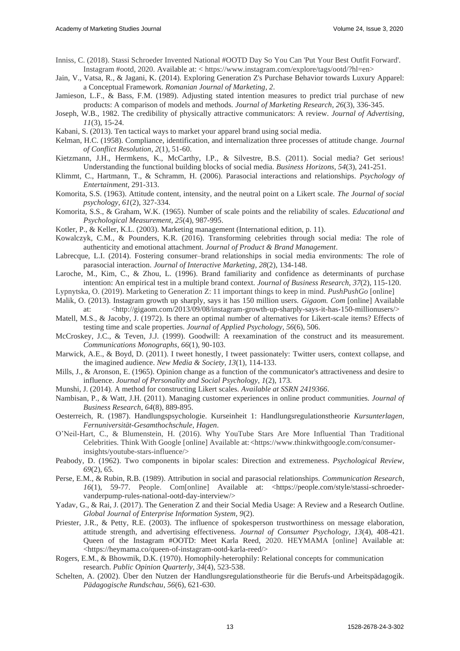- Inniss, C. (2018). Stassi Schroeder Invented National #OOTD Day So You Can 'Put Your Best Outfit Forward'. Instagram #ootd, 2020. Available at: < https://www.instagram.com/explore/tags/ootd/?hl=en>
- Jain, V., Vatsa, R., & Jagani, K. (2014). Exploring Generation Z's Purchase Behavior towards Luxury Apparel: a Conceptual Framework. *Romanian Journal of Marketing*, *2*.
- Jamieson, L.F., & Bass, F.M. (1989). Adjusting stated intention measures to predict trial purchase of new products: A comparison of models and methods. *Journal of Marketing Research*, *26*(3), 336-345.
- Joseph, W.B., 1982. The credibility of physically attractive communicators: A review. *Journal of Advertising*, *11*(3), 15-24.
- Kabani, S. (2013). Ten tactical ways to market your apparel brand using social media.
- Kelman, H.C. (1958). Compliance, identification, and internalization three processes of attitude change. *Journal of Conflict Resolution*, *2*(1), 51-60.
- Kietzmann, J.H., Hermkens, K., McCarthy, I.P., & Silvestre, B.S. (2011). Social media? Get serious! Understanding the functional building blocks of social media. *Business Horizons*, *54*(3), 241-251.
- Klimmt, C., Hartmann, T., & Schramm, H. (2006). Parasocial interactions and relationships. *Psychology of Entertainment*, 291-313.
- Komorita, S.S. (1963). Attitude content, intensity, and the neutral point on a Likert scale. *The Journal of social psychology*, *61*(2), 327-334.
- Komorita, S.S., & Graham, W.K. (1965). Number of scale points and the reliability of scales. *Educational and Psychological Measurement*, *25*(4), 987-995.
- Kotler, P., & Keller, K.L. (2003). Marketing management (International edition, p. 11).
- Kowalczyk, C.M., & Pounders, K.R. (2016). Transforming celebrities through social media: The role of authenticity and emotional attachment. *Journal of Product & Brand Management*.
- Labrecque, L.I. (2014). Fostering consumer–brand relationships in social media environments: The role of parasocial interaction. *Journal of Interactive Marketing*, *28*(2), 134-148.
- Laroche, M., Kim, C., & Zhou, L. (1996). Brand familiarity and confidence as determinants of purchase intention: An empirical test in a multiple brand context. *Journal of Business Research*, *37*(2), 115-120.
- Lypnytska, O. (2019). Marketing to Generation Z: 11 important things to keep in mind. *PushPushGo* [online]
- Malik, O. (2013). Instagram growth up sharply, says it has 150 million users. *Gigaom. Com* [online] Available at: <http://gigaom.com/2013/09/08/instagram-growth-up-sharply-says-it-has-150-millionusers/>
- Matell, M.S., & Jacoby, J. (1972). Is there an optimal number of alternatives for Likert-scale items? Effects of testing time and scale properties. *Journal of Applied Psychology*, *56*(6), 506.
- McCroskey, J.C., & Teven, J.J. (1999). Goodwill: A reexamination of the construct and its measurement. *Communications Monographs*, *66*(1), 90-103.
- Marwick, A.E., & Boyd, D. (2011). I tweet honestly, I tweet passionately: Twitter users, context collapse, and the imagined audience. *New Media & Society*, *13*(1), 114-133.
- Mills, J., & Aronson, E. (1965). Opinion change as a function of the communicator's attractiveness and desire to influence. *Journal of Personality and Social Psychology*, *1*(2), 173.
- Munshi, J. (2014). A method for constructing Likert scales. *Available at SSRN 2419366*.
- Nambisan, P., & Watt, J.H. (2011). Managing customer experiences in online product communities. *Journal of Business Research*, *64*(8), 889-895.
- Oesterreich, R. (1987). Handlungspsychologie. Kurseinheit 1: Handlungsregulationstheorie *Kursunterlagen, Fernuniversität-Gesamthochschule, Hagen*.
- O'Neil-Hart, C., & Blumenstein, H. (2016). Why YouTube Stars Are More Influential Than Traditional Celebrities. Think With Google [online] Available at:<https://www.thinkwithgoogle.com/consumerinsights/youtube-stars-influence/>
- Peabody, D. (1962). Two components in bipolar scales: Direction and extremeness. *Psychological Review*, *69*(2), 65.
- Perse, E.M., & Rubin, R.B. (1989). Attribution in social and parasocial relationships. *Communication Research*, *16*(1), 59-77. People. Com[online] Available at: <https://people.com/style/stassi-schroedervanderpump-rules-national-ootd-day-interview/>
- Yadav, G., & Rai, J. (2017). The Generation Z and their Social Media Usage: A Review and a Research Outline. *Global Journal of Enterprise Information System*, *9*(2).
- Priester, J.R., & Petty, R.E. (2003). The influence of spokesperson trustworthiness on message elaboration, attitude strength, and advertising effectiveness. *Journal of Consumer Psychology*, *13*(4), 408-421. Queen of the Instagram #OOTD: Meet Karla Reed, 2020. HEYMAMA [online] Available at: <https://heymama.co/queen-of-instagram-ootd-karla-reed/>
- Rogers, E.M., & Bhowmik, D.K. (1970). Homophily-heterophily: Relational concepts for communication research. *Public Opinion Quarterly*, *34*(4), 523-538.
- Schelten, A. (2002). Über den Nutzen der Handlungsregulationstheorie für die Berufs-und Arbeitspädagogik. *Pädagogische Rundschau*, *56*(6), 621-630.